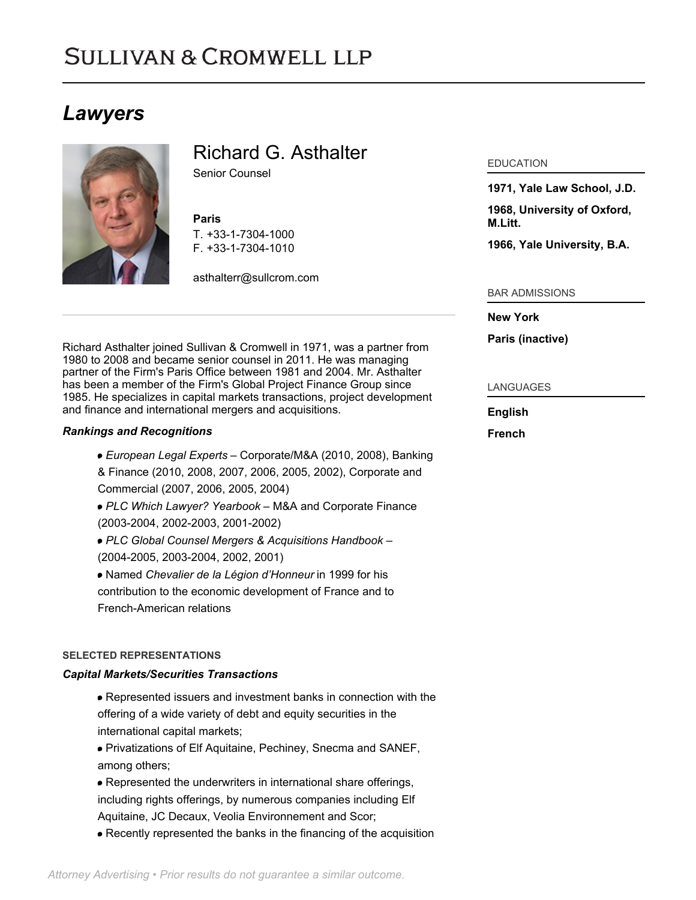# **SULLIVAN & CROMWELL LLP**

## *Lawyers*



### Richard G. Asthalter

Senior Counsel

#### **Paris**

T. [+33-1-7304-1000](tel:+33-1-7304-1000) F. [+33-1-7304-1010](tel:+33-1-7304-1010)

[asthalterr@sullcrom.com](https://www.sullcrom.com/email-disclaimer?profsid=lawyers/RichardG-Asthalter)

Richard Asthalter joined Sullivan & Cromwell in 1971, was a partner from 1980 to 2008 and became senior counsel in 2011. He was managing partner of the Firm's Paris Office between 1981 and 2004. Mr. Asthalter has been a member of the Firm's Global Project Finance Group since 1985. He specializes in capital markets transactions, project development and finance and international mergers and acquisitions.

#### *Rankings and Recognitions*

- *European Legal Experts* Corporate/M&A (2010, 2008), Banking & Finance (2010, 2008, 2007, 2006, 2005, 2002), Corporate and Commercial (2007, 2006, 2005, 2004)
- *PLC Which Lawyer? Yearbook* M&A and Corporate Finance (2003-2004, 2002-2003, 2001-2002)
- *PLC Global Counsel Mergers & Acquisitions Handbook* (2004-2005, 2003-2004, 2002, 2001)
- Named *Chevalier de la Légion d'Honneur* in 1999 for his contribution to the economic development of France and to French-American relations

#### **SELECTED REPRESENTATIONS**

#### *Capital Markets/Securities Transactions*

- Represented issuers and investment banks in connection with the offering of a wide variety of debt and equity securities in the international capital markets;
- Privatizations of Elf Aquitaine, Pechiney, Snecma and SANEF, among others;
- Represented the underwriters in international share offerings, including rights offerings, by numerous companies including Elf Aquitaine, JC Decaux, Veolia Environnement and Scor;
- Recently represented the banks in the financing of the acquisition

#### EDUCATION

**1971, Yale Law School, J.D.** 

**1968, University of Oxford, M.Litt.** 

**1966, Yale University, B.A.** 

#### BAR ADMISSIONS

#### **New York**

**Paris (inactive)** 

#### LANGUAGES

#### **English**

**French**